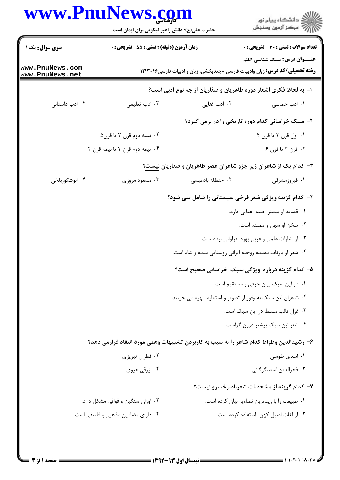|                                    | حضرت علی(ع): دانش راهبر نیکویی برای ایمان است                                          |                                                             | د دانشڪاه پيام نور<br>7- مرڪز آزمون وسنڊش                                           |
|------------------------------------|----------------------------------------------------------------------------------------|-------------------------------------------------------------|-------------------------------------------------------------------------------------|
| سری سوال: یک ۱                     | زمان آزمون (دقیقه) : تستی : 55 تشریحی : 0                                              |                                                             | <b>تعداد سوالات : تستی : 30 ٪ تشریحی : 0</b><br><b>عنـــوان درس:</b> سبک شناسی ۱نظم |
| www.PnuNews.com<br>www.PnuNews.net |                                                                                        |                                                             | <b>رشته تحصیلی/کد درس:</b> زبان وادبیات فارسی -چندبخشی، زبان و ادبیات فارسی۱۲۱۳۰۴۶  |
|                                    |                                                                                        |                                                             | ۱– به لحاظ فکری اشعار دوره طاهریان و صفاریان از چه نوع ادبی است؟                    |
| ۰۴ ادب داستانی                     | ۰۳ ادب تعلیمی                                                                          | ۰۲ ادب غنایی                                                | ۰۱ ادب حماسی                                                                        |
|                                    |                                                                                        |                                                             | ۲- سبک خراسانی کدام دوره تاریخی را در برمی گیرد؟                                    |
|                                    | ۰۲ نیمه دوم قرن ۳ تا قرن۵                                                              |                                                             | ٠١. اول قرن ٢ تا قرن ۴                                                              |
|                                    | ۰۴ نیمه دوم قرن ۲ تا نیمه قرن ۴                                                        |                                                             | ۰۳ قرن ۳ تا قرن ۶                                                                   |
|                                    |                                                                                        |                                                             | <b>۳</b> - کدام یک از شاعران زیر جزو شاعران عصر طاهریان و صفاریان نیست؟             |
| ۰۴ ابوشکوربلخی                     | ۰۳ مسعود مروزي                                                                         | ۰۲ حنظله بادغیسی                                            | ۰۱ فیروزمشرقی                                                                       |
|                                    |                                                                                        |                                                             | ۴- کدام گزینه ویژگی شعر فرخی سیستانی را شامل <u>نمی شود</u> ؟                       |
|                                    |                                                                                        |                                                             | ٠١ قصايد او بيشتر جنبه غنايي دارد.                                                  |
|                                    |                                                                                        |                                                             | ۰۲ سخن او سهل و ممتنع است.                                                          |
|                                    |                                                                                        |                                                             | ۰۳ از اشارات علمی و عربی بهره فراوانی برده است.                                     |
|                                    |                                                                                        | ۰۴ شعر او بازتاب دهنده روحیه ایرانی روستایی ساده و شاد است. |                                                                                     |
|                                    |                                                                                        |                                                             | ۵– کدام گزینه درباره ویژگی سبک خراسانی صحیح است؟                                    |
|                                    |                                                                                        |                                                             | ٠١ در اين سبک بيان حرفي و مستقيم است.                                               |
|                                    |                                                                                        | ۰۲ شاعران این سبک به وفور از تصویر و استعاره بهره می جویند. |                                                                                     |
|                                    |                                                                                        |                                                             | ۰۳ غزل قالب مسلط در این سبک است.                                                    |
|                                    |                                                                                        |                                                             | ۰۴ شعر این سبک بیشتر درون گراست.                                                    |
|                                    | ۶– رشیدالدین وطواط کدام شاعر را به سبب به کاربردن تشبیهات وهمی مورد انتقاد قرارمی دهد؟ |                                                             |                                                                                     |
|                                    | ۰۲ قطران تبریزی                                                                        |                                                             | ۰۱ اسدی طوسی                                                                        |
|                                    | ۰۴ ازرقی هروی                                                                          |                                                             | ۰۳ فخرالدين اسعدگر گاني                                                             |
|                                    |                                                                                        |                                                             | ۷– کدام گزینه از مشخصات شعرناصرخسرو نیست؟                                           |
|                                    | ۰۲ اوزان سنگین و قوافی مشکل دارد.                                                      |                                                             | ٠١ طبيعت را با زيباترين تصاوير بيان كرده است.                                       |
|                                    | ۰۴ دارای مضامین مذهبی و فلسفی است.                                                     |                                                             | ۰۳ از لغات اصیل کهن استفاده کرده است.                                               |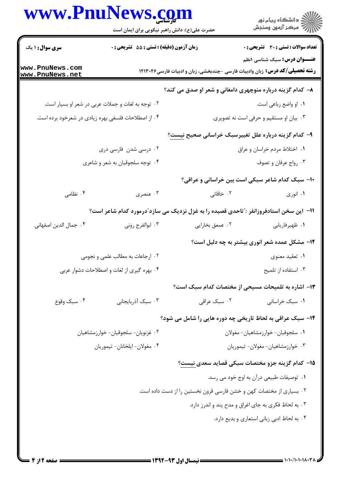## **WWW PnuNews com**

|                                                     | www.PnuNews.com<br>حضرت علی(ع): دانش راهبر نیکویی برای ایمان است                        |                                                                     | ر<br>دانشڪاه پيام نور)<br>ا∛ مرڪز آزمون وسنڊش                                                                             |  |
|-----------------------------------------------------|-----------------------------------------------------------------------------------------|---------------------------------------------------------------------|---------------------------------------------------------------------------------------------------------------------------|--|
| <b>سری سوال : ۱ یک</b>                              | زمان آزمون (دقیقه) : تستی : 55 آتشریحی : 0                                              |                                                                     | تعداد سوالات : تستي : 30 - تشريحي : 0                                                                                     |  |
| www.PnuNews.com<br>www.PnuNews.net                  |                                                                                         |                                                                     | <b>عنـــوان درس:</b> سبک شناسی ۱نظم<br><b>رشته تحصیلی/کد درس:</b> زبان وادبیات فارسی -چندبخشی، زبان و ادبیات فارسی۱۲۱۳۰۴۶ |  |
|                                                     |                                                                                         | ۸– کدام گزینه درباره منوچهری دامغانی و شعر او صدق می کند؟           |                                                                                                                           |  |
| ۰۲ توجه به لغات و جملات عربی در شعر او بسیار است.   |                                                                                         |                                                                     | ۰۱ او واضع رباعی است.                                                                                                     |  |
| ۰۴ از اصطلاحات فلسفی بهره زیادی در شعرخود برده است. |                                                                                         | ۰۳ بیان او مستقیم و حرفی است نه تصویری.                             |                                                                                                                           |  |
|                                                     |                                                                                         | ۹– کدام گزینه درباره علل تغییرسبک خراسانی صحیح ن <u>یست</u> ؟       |                                                                                                                           |  |
| ۰۲ درسی شدن فارسی دری                               |                                                                                         | ١. اختلاط مردم خراسان و عراق                                        |                                                                                                                           |  |
|                                                     | ۰۴ توجه سلجوقیان به شعر و شاعری                                                         |                                                                     | ۰۳ رواج عرفان و تصوف                                                                                                      |  |
|                                                     |                                                                                         | ۱۰- سبک کدام شاعر سبکی است بین خراسانی و عراقی؟                     |                                                                                                                           |  |
| ۰۴ نظامی                                            | ۰۳ عنصری                                                                                | ۰۲ خاقانی                                                           | ۰۱ انوری                                                                                                                  |  |
|                                                     | 11– این سخن استادفروزانفر : ّتاحدی قصیده را به غزل نزدیک می سازد ّدرمورد کدام شاعر است؟ |                                                                     |                                                                                                                           |  |
| ۰۴ جمال الدين اصفهانى                               | ۰۳ ابوالفرج رونی                                                                        | ۰۲ عمعق بخارايي                                                     | ٠١ ظهيرفاريابي                                                                                                            |  |
|                                                     |                                                                                         |                                                                     | ۱۲- مشکل عمده شعر انوری بیشتر به چه دلیل است؟                                                                             |  |
|                                                     | ۰۲ ارجاعات به مطالب علمی و نجومی                                                        |                                                                     | ۰۱ تعقید معنوی                                                                                                            |  |
|                                                     | ۰۴ بهره گیری از لغات و اصطلاحات دشوار عربی                                              |                                                                     | ۰۳ استفاده از تلميح                                                                                                       |  |
|                                                     |                                                                                         | ۱۳– اشاره به تلمیحات مسیحی از مختصات کدام سبک است؟                  |                                                                                                                           |  |
| ۰۴ سبک وقوع                                         | ۰۳ سبک آذربایجانی                                                                       | ۰۲ سبک عراقی                                                        | ۰۱ سبک خراسانی                                                                                                            |  |
|                                                     |                                                                                         | ۱۴- سبک عراقی به لحاظ تاریخی چه دوره هایی را شامل می شود؟           |                                                                                                                           |  |
| ۰۲ غزنویان- سلجوقیان- خوارزمشاهیان                  |                                                                                         | ٠١ سلجوقيان- خوارزمشاهيان- مغولان                                   |                                                                                                                           |  |
| ۰۴ مغولان- ايلخانان- تيموريان                       |                                                                                         |                                                                     | ۰۳ خوارزمشاهيان- مغولان- تيموريان                                                                                         |  |
|                                                     |                                                                                         | ۱۵– کدام گزینه جزو مختصات سبکی قصاید سعدی نیست؟                     |                                                                                                                           |  |
|                                                     |                                                                                         |                                                                     | ۰۱ توصیفات طبیعی درآن به اوج خود می رسد.                                                                                  |  |
|                                                     |                                                                                         | ۰۲ بسیاری از مختصات کهن و خشن فارسی قرون نخستین را از دست داده است. |                                                                                                                           |  |
|                                                     |                                                                                         | ۰۳ به لحاظ فکری به جای اغراق و مدح پند و اندرز دارد.                |                                                                                                                           |  |
|                                                     |                                                                                         |                                                                     | ۰۴ به لحاظ ادبی زبانی استعاری و بدیع دارد.                                                                                |  |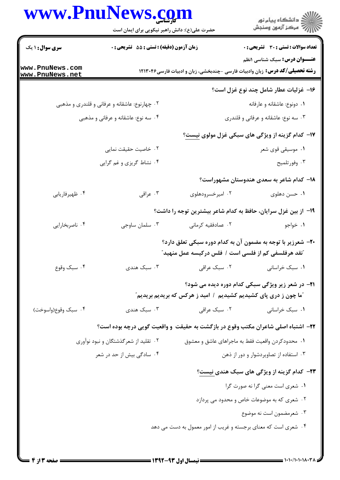## WWW PnuNews com

|                                               | www.PnuNews.com<br>حضرت علی(ع): دانش راهبر نیکویی برای ایمان است                                                                    |                                                                         | ِ<br>∭ دانشڪاه پيام نور<br>∭ مرڪز آزمون وسنڊش                                                                             |  |  |
|-----------------------------------------------|-------------------------------------------------------------------------------------------------------------------------------------|-------------------------------------------------------------------------|---------------------------------------------------------------------------------------------------------------------------|--|--|
| <b>سری سوال : ۱ یک</b>                        | <b>زمان آزمون (دقیقه) : تستی : 55 تشریحی : 0</b>                                                                                    |                                                                         | تعداد سوالات : تستي : 30 - تشريحي : 0                                                                                     |  |  |
| www.PnuNews.com<br>www.PnuNews.net            |                                                                                                                                     |                                                                         | <b>عنـــوان درس:</b> سبک شناسی ۱نظم<br><b>رشته تحصیلی/کد درس:</b> زبان وادبیات فارسی -چندبخشی، زبان و ادبیات فارسی۱۲۱۳۰۴۶ |  |  |
|                                               |                                                                                                                                     |                                                                         | ۱۶– غزلیات عطار شامل چند نوع غزل است؟                                                                                     |  |  |
| ۰۲ چهارنوع: عاشقانه و عرفانی و قلندری و مذهبی |                                                                                                                                     |                                                                         | ۰۱ دونوع: عاشقانه و عارفانه                                                                                               |  |  |
| ۰۴ سه نوع: عاشقانه و عرفانی و مذهبی           |                                                                                                                                     | ۰۳ سه نوع: عاشقانه و عرفانی و قلندری                                    |                                                                                                                           |  |  |
|                                               |                                                                                                                                     |                                                                         | <b>۱۷- کدام گزینه از ویژگی های سبکی غزل مولوی نیست</b> ؟                                                                  |  |  |
|                                               | ۲. خاصیت حقیقت نمایی                                                                                                                |                                                                         | ۰۱ موسیقی قوی شعر                                                                                                         |  |  |
|                                               | ۰۴ نشاط گریزی و غم گرایی                                                                                                            |                                                                         | ۰۳ وفورتلميح                                                                                                              |  |  |
|                                               |                                                                                                                                     |                                                                         | ۱۸– کدام شاعر به سعدی هندوستان مشهوراست؟                                                                                  |  |  |
| ۰۴ ظهيرفاريابي                                | ۰۳ عراقي                                                                                                                            | ۰۲ امیرخسرودهلوی                                                        | ۰۱ حسن دهلوی                                                                                                              |  |  |
|                                               |                                                                                                                                     |                                                                         | ۱۹- از بین غزل سرایان، حافظ به کدام شاعر بیشترین توجه را داشت؟                                                            |  |  |
| ۰۴ ناصربخارایی                                | ۰۳ سلمان ساوجي                                                                                                                      | ۰۲ عمادفقیه کرمانی                                                      | ۰۱ خواجو                                                                                                                  |  |  |
|                                               |                                                                                                                                     | <sup>"</sup> نقد هرفلسفی کم از فلسی است / فلس درکیسه عمل منهید <i>"</i> | ۲۰- شعرزیر با توجه به مضمون آن به کدام دوره سبکی تعلق دارد؟                                                               |  |  |
| ۰۴ سبک وقوع                                   | ۰۳ سبک هندی                                                                                                                         | ۰۲ سبک عراقی                                                            | ۰۱ سبک خراسانی                                                                                                            |  |  |
|                                               | <b>۲۱</b> - در شعر زیر ویژگی سبکی کدام دوره دیده می شود؟<br><b>"ما چون ز دری پای کشیدیم کشیدیم ۱ امید ز هرکس که بریدیم بریدیم</b> " |                                                                         |                                                                                                                           |  |  |
| ۰۴ سبک وقوع(واسوخت)                           | ۰۳ سبک هندی                                                                                                                         | ۰۲ سبک عراقی                                                            | ۰۱ سبک خراسانی                                                                                                            |  |  |
|                                               |                                                                                                                                     |                                                                         | ۲۲– اشتباه اصلی شاعران مکتب وقوع در بازگشت به حقیقت و واقعیت گویی درچه بوده است؟                                          |  |  |
| ۰۲ تقلید از شعرگذشتگان و نبود نوآوری          |                                                                                                                                     |                                                                         | ۰۱ محدودکردن واقعیت فقط به ماجراهای عاشق و معشوق                                                                          |  |  |
| ۰۴ سادگی بیش از حد در شعر                     |                                                                                                                                     |                                                                         | ۰۳ استفاده از تصاویردشوار و دور از ذهن                                                                                    |  |  |
|                                               |                                                                                                                                     |                                                                         | <b>۲۳</b> - کدام گزینه از ویژگی های سبک هندی نیست؟                                                                        |  |  |
|                                               |                                                                                                                                     |                                                                         | ٠١ شعرى است معنى كرا نه صورت كرا                                                                                          |  |  |
|                                               |                                                                                                                                     |                                                                         | ۰۲ شعری که به موضوعات خاص و محدود می پردازد                                                                               |  |  |
|                                               |                                                                                                                                     |                                                                         | ۰۳ شعرمضمون است نه موضوع                                                                                                  |  |  |
|                                               |                                                                                                                                     |                                                                         | ۰۴ شعری است که معنای برجسته و غریب از امور معمول به دست می دهد                                                            |  |  |